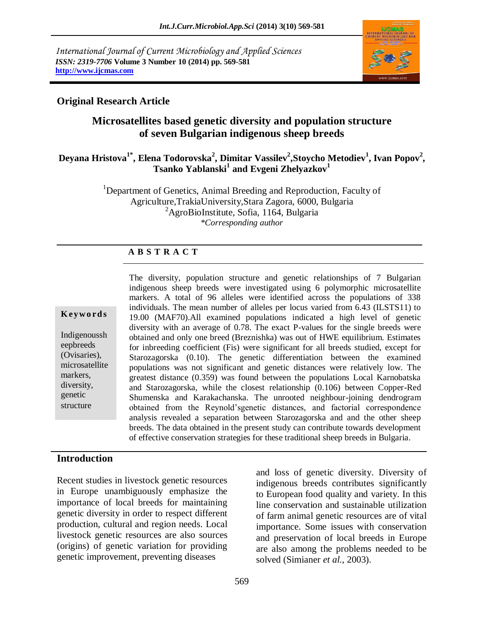*International Journal of Current Microbiology and Applied Sciences ISSN: 2319-7706* **Volume 3 Number 10 (2014) pp. 569-581 http://www.ijcmas.com**



# **Original Research Article**

# **Microsatellites based genetic diversity and population structure of seven Bulgarian indigenous sheep breeds**

### **Deyana Hristova1\* , Elena Todorovska<sup>2</sup> , Dimitar Vassilev<sup>2</sup> ,Stoycho Metodiev<sup>1</sup> , Ivan Popov<sup>2</sup> , Tsanko Yablanski<sup>1</sup> and Evgeni Zhelyazkov<sup>1</sup>**

<sup>1</sup>Department of Genetics, Animal Breeding and Reproduction, Faculty of Agriculture,TrakiaUniversity,Stara Zagora, 6000, Bulgaria  ${}^{2}$ AgroBioInstitute, Sofia, 1164, Bulgaria *\*Corresponding author* 

#### **A B S T R A C T**

#### **K ey w o rd s**

Indigenoussh eepbreeds (Ovisaries), microsatellite markers, diversity, genetic structure

The diversity, population structure and genetic relationships of 7 Bulgarian indigenous sheep breeds were investigated using 6 polymorphic microsatellite markers. A total of 96 alleles were identified across the populations of 338 individuals. The mean number of alleles per locus varied from 6.43 (ILSTS11) to 19.00 (MAF70).All examined populations indicated a high level of genetic diversity with an average of 0.78. The exact P-values for the single breeds were obtained and only one breed (Breznishka) was out of HWE equilibrium. Estimates for inbreeding coefficient (Fis) were significant for all breeds studied, except for Starozagorska (0.10). The genetic differentiation between the examined populations was not significant and genetic distances were relatively low. The greatest distance (0.359) was found between the populations Local Karnobatska and Starozagorska, while the closest relationship (0.106) between Copper-Red Shumenska and Karakachanska. The unrooted neighbour-joining dendrogram obtained from the Reynold'sgenetic distances, and factorial correspondence analysis revealed a separation between Starozagorska and and the other sheep breeds. The data obtained in the present study can contribute towards development of effective conservation strategies for these traditional sheep breeds in Bulgaria.

### **Introduction**

Recent studies in livestock genetic resources in Europe unambiguously emphasize the importance of local breeds for maintaining genetic diversity in order to respect different production, cultural and region needs. Local livestock genetic resources are also sources (origins) of genetic variation for providing genetic improvement, preventing diseases

and loss of genetic diversity. Diversity of indigenous breeds contributes significantly to European food quality and variety. In this line conservation and sustainable utilization of farm animal genetic resources are of vital importance. Some issues with conservation and preservation of local breeds in Europe are also among the problems needed to be solved (Simianer *et al.,* 2003).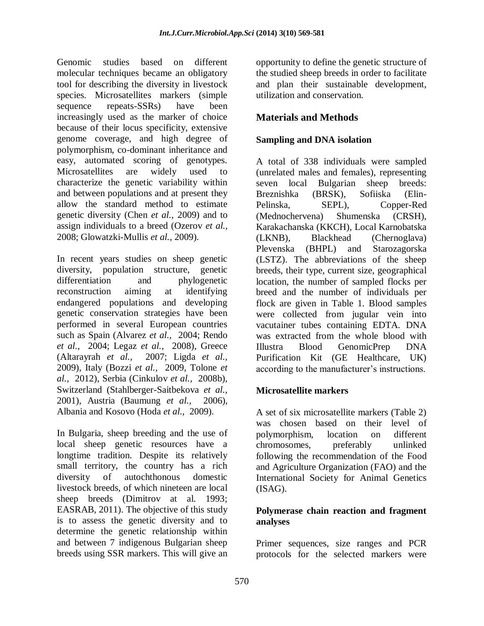Genomic studies based on different molecular techniques became an obligatory tool for describing the diversity in livestock species. Microsatellites markers (simple sequence repeats-SSRs) have been increasingly used as the marker of choice because of their locus specificity, extensive genome coverage, and high degree of polymorphism, co-dominant inheritance and easy, automated scoring of genotypes. Microsatellites are widely used to characterize the genetic variability within and between populations and at present they allow the standard method to estimate genetic diversity (Chen *et al.,* 2009) and to assign individuals to a breed (Ozerov *et al.,* 2008; Glowatzki-Mullis *et al.,* 2009).

In recent years studies on sheep genetic diversity, population structure, genetic differentiation and phylogenetic reconstruction aiming at identifying endangered populations and developing genetic conservation strategies have been performed in several European countries such as Spain (Alvarez *et al.,* 2004; Rendo *et al.,* 2004; Legaz *et al.,* 2008), Greece (Altarayrah *et al.,* 2007; Ligda *et al.,*  2009), Italy (Bozzi *et al.,* 2009, Tolone *et al.,* 2012), Serbia (Cinkulov *et al.,* 2008b), Switzerland (Stahlberger-Saitbekova *et al.,*  2001), Austria (Baumung *et al.,* 2006), Albania and Kosovo (Hoda *et al.,* 2009).

In Bulgaria, sheep breeding and the use of local sheep genetic resources have a longtime tradition. Despite its relatively small territory, the country has a rich diversity of autochthonous domestic livestock breeds, of which nineteen are local sheep breeds (Dimitrov at al. 1993; EASRAB, 2011). The objective of this study is to assess the genetic diversity and to determine the genetic relationship within and between 7 indigenous Bulgarian sheep breeds using SSR markers. This will give an

opportunity to define the genetic structure of the studied sheep breeds in order to facilitate and plan their sustainable development, utilization and conservation.

# **Materials and Methods**

# **Sampling and DNA isolation**

A total of 338 individuals were sampled (unrelated males and females), representing seven local Bulgarian sheep breeds: Breznishka (BRSK), Sofiiska (Elin-Pelinska, SEPL), Copper-Red (Mednochervena) Shumenska (CRSH), Karakachanska (KKCH), Local Karnobatska (LKNB), Blackhead (Chernoglava) Plevenska (BHPL) and Starozagorska (LSTZ). The abbreviations of the sheep breeds, their type, current size, geographical location, the number of sampled flocks per breed and the number of individuals per flock are given in Table 1. Blood samples were collected from jugular vein into vacutainer tubes containing EDTA. DNA was extracted from the whole blood with Illustra Blood GenomicPrep DNA Purification Kit (GE Healthcare, UK) according to the manufacturer's instructions.

# **Microsatellite markers**

A set of six microsatellite markers (Table 2) was chosen based on their level of polymorphism, location on different chromosomes, preferably unlinked following the recommendation of the Food and Agriculture Organization (FAO) and the International Society for Animal Genetics (ISAG).

### **Polymerase chain reaction and fragment analyses**

Primer sequences, size ranges and PCR protocols for the selected markers were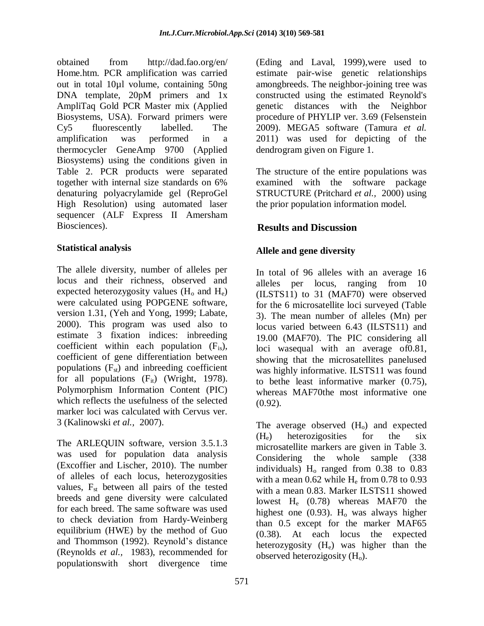obtained from [http://dad.fao.org/en/](http://dad.fao.org/en/%20Home.htm) [Home.htm.](http://dad.fao.org/en/%20Home.htm) PCR amplification was carried out in total 10µl volume, containing 50ng DNA template, 20pM primers and 1x AmpliTaq Gold PCR Master mix (Applied Biosystems, USA). Forward primers were Cy5 fluorescently labelled. The amplification was performed in a thermocycler GeneAmp 9700 (Applied Biosystems) using the conditions given in Table 2. PCR products were separated together with internal size standards on 6% denaturing polyacrylamide gel (ReproGel High Resolution) using automated laser sequencer (ALF Express II Amersham Biosciences).

# **Statistical analysis**

The allele diversity, number of alleles per locus and their richness, observed and expected heterozygosity values  $(H_0$  and  $H_e)$ were calculated using POPGENE software, version 1.31, (Yeh and Yong, 1999; Labate, 2000). This program was used also to estimate 3 fixation indices: inbreeding coefficient within each population  $(F_{is})$ , coefficient of gene differentiation between populations  $(F_{st})$  and inbreeding coefficient for all populations  $(F_{it})$  (Wright, 1978). Polymorphism Information Content (PIC) which reflects the usefulness of the selected marker loci was calculated with Cervus ver. 3 (Kalinowski *et al.,* 2007).

The ARLEQUIN software, version 3.5.1.3 was used for population data analysis (Excoffier and Lischer, 2010). The number of alleles of each locus, heterozygosities values,  $F_{st}$  between all pairs of the tested breeds and gene diversity were calculated for each breed. The same software was used to check deviation from Hardy-Weinberg equilibrium (HWE) by the method of Guo and Thommson (1992). Reynold's distance (Reynolds *et al.,* 1983), recommended for populationswith short divergence time

(Eding and Laval, 1999),were used to estimate pair-wise genetic relationships amongbreeds. The neighbor-joining tree was constructed using the estimated Reynold's genetic distances with the Neighbor procedure of PHYLIP ver. 3.69 (Felsenstein 2009). MEGA5 software (Tamura *et al.*  2011) was used for depicting of the dendrogram given on Figure 1.

The structure of the entire populations was examined with the software package STRUCTURE (Pritchard *et al.,* 2000) using the prior population information model.

# **Results and Discussion**

# **Allele and gene diversity**

In total of 96 alleles with an average 16 alleles per locus, ranging from 10 (ILSTS11) to 31 (MAF70) were observed for the 6 microsatellite loci surveyed (Table 3). The mean number of alleles (Mn) per locus varied between 6.43 (ILSTS11) and 19.00 (MAF70). The PIC considering all loci wasequal with an average of 0.81, showing that the microsatellites panelused was highly informative. ILSTS11 was found to bethe least informative marker (0.75), whereas MAF70the most informative one  $(0.92)$ .

The average observed  $(H<sub>o</sub>)$  and expected  $(H_e)$  heterozigosities for the six microsatellite markers are given in Table 3. Considering the whole sample (338 individuals)  $H_0$  ranged from 0.38 to 0.83 with a mean  $0.62$  while  $H<sub>e</sub>$  from  $0.78$  to  $0.93$ with a mean 0.83. Marker ILSTS11 showed lowest H<sub>e</sub> (0.78) whereas MAF70 the highest one  $(0.93)$ . H<sub>o</sub> was always higher than 0.5 except for the marker MAF65 (0.38). At each locus the expected heterozygosity  $(H_e)$  was higher than the observed heterozigosity  $(H<sub>o</sub>)$ .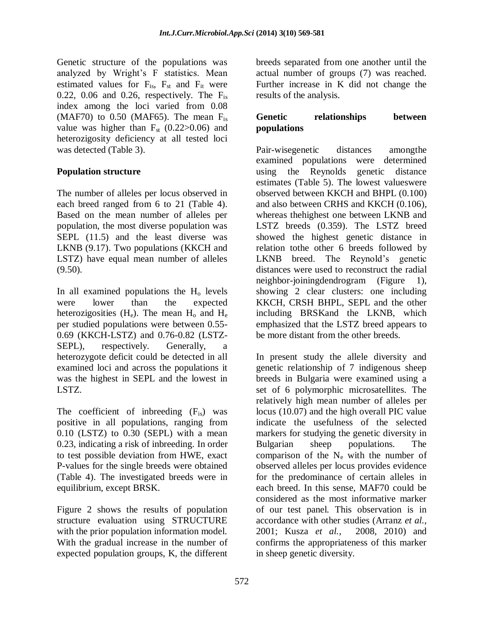Genetic structure of the populations was analyzed by Wright's F statistics. Mean estimated values for  $F_{is}$ ,  $F_{st}$  and  $F_{it}$  were 0.22, 0.06 and 0.26, respectively. The  $F_{is}$ index among the loci varied from 0.08 (MAF70) to  $0.50$  (MAF65). The mean  $F_{is}$ value was higher than  $F_{st}$  (0.22>0.06) and heterozigosity deficiency at all tested loci was detected (Table 3).

### **Population structure**

The number of alleles per locus observed in each breed ranged from 6 to 21 (Table 4). Based on the mean number of alleles per population, the most diverse population was SEPL (11.5) and the least diverse was LKNB (9.17). Two populations (KKCH and LSTZ) have equal mean number of alleles (9.50).

In all examined populations the  $H_0$  levels were lower than the expected heterozigosities  $(H_e)$ . The mean  $H_o$  and  $H_e$ per studied populations were between 0.55- 0.69 (KKCH-LSTZ) and 0.76-0.82 (LSTZ-SEPL), respectively. Generally, heterozygote deficit could be detected in all examined loci and across the populations it was the highest in SEPL and the lowest in LSTZ.

The coefficient of inbreeding  $(F_{is})$  was positive in all populations, ranging from 0.10 (LSTZ) to 0.30 (SEPL) with a mean 0.23, indicating a risk of inbreeding. In order to test possible deviation from HWE, exact P-values for the single breeds were obtained (Table 4). The investigated breeds were in equilibrium, except BRSK.

Figure 2 shows the results of population structure evaluation using STRUCTURE with the prior population information model. With the gradual increase in the number of expected population groups, K, the different breeds separated from one another until the actual number of groups (7) was reached. Further increase in K did not change the results of the analysis.

# **Genetic relationships between populations**

Pair-wisegenetic distances amongthe examined populations were determined using the Reynolds genetic distance estimates (Table 5). The lowest valueswere observed between KKCH and BHPL (0.100) and also between CRHS and KKCH (0.106), whereas thehighest one between LKNB and LSTZ breeds (0.359). The LSTZ breed showed the highest genetic distance in relation tothe other 6 breeds followed by LKNB breed. The Reynold's genetic distances were used to reconstruct the radial neighbor-joiningdendrogram (Figure 1), showing 2 clear clusters: one including KKCH, CRSH BHPL, SEPL and the other including BRSKand the LKNB, which emphasized that the LSTZ breed appears to be more distant from the other breeds.

In present study the allele diversity and genetic relationship of 7 indigenous sheep breeds in Bulgaria were examined using a set of 6 polymorphic microsatellites. The relatively high mean number of alleles per locus (10.07) and the high overall PIC value indicate the usefulness of the selected markers for studying the genetic diversity in Bulgarian sheep populations. The comparison of the  $N_e$  with the number of observed alleles per locus provides evidence for the predominance of certain alleles in each breed. In this sense, MAF70 could be considered as the most informative marker of our test panel. This observation is in accordance with other studies (Arranz *et al.,*  2001; Kusza *et al.,* 2008, 2010) and confirms the appropriateness of this marker in sheep genetic diversity.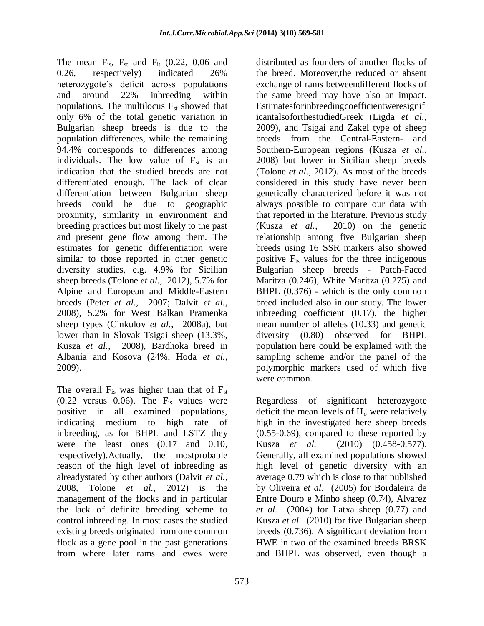The mean  $F_{is}$ ,  $F_{st}$  and  $F_{it}$  (0.22, 0.06 and 0.26, respectively) indicated 26% heterozygote's deficit across populations and around 22% inbreeding within populations. The multilocus  $F_{st}$  showed that only 6% of the total genetic variation in Bulgarian sheep breeds is due to the population differences, while the remaining 94.4% corresponds to differences among individuals. The low value of  $F_{st}$  is an indication that the studied breeds are not differentiated enough. The lack of clear differentiation between Bulgarian sheep breeds could be due to geographic proximity, similarity in environment and breeding practices but most likely to the past and present gene flow among them. The estimates for genetic differentiation were similar to those reported in other genetic diversity studies, e.g. 4.9% for Sicilian sheep breeds (Tolone *et al.,* 2012), 5.7% for Alpine and European and Middle-Eastern breeds (Peter *et al.,* 2007; Dalvit *et al.,*  2008), 5.2% for West Balkan Pramenka sheep types (Cinkulov *et al.,* 2008a), but lower than in Slovak Tsigai sheep (13.3%, Kusza *et al.,* 2008), Bardhoka breed in Albania and Kosova (24%, Hoda *et al.,*  2009).

The overall  $F_{is}$  was higher than that of  $F_{st}$  $(0.22$  versus  $0.06$ . The  $F_{is}$  values were positive in all examined populations, indicating medium to high rate of inbreeding, as for BHPL and LSTZ they were the least ones (0.17 and 0.10, respectively).Actually, the mostprobable reason of the high level of inbreeding as alreadystated by other authors (Dalvit *et al.,*  2008, Tolone *et al.,* 2012) is the management of the flocks and in particular the lack of definite breeding scheme to control inbreeding. In most cases the studied existing breeds originated from one common flock as a gene pool in the past generations from where later rams and ewes were

distributed as founders of another flocks of the breed. Moreover,the reduced or absent exchange of rams betweendifferent flocks of the same breed may have also an impact. Estimatesforinbreedingcoefficientweresignif icantalsoforthestudiedGreek (Ligda *et al.,* 2009), and Tsigai and Zakel type of sheep breeds from the Central-Eastern- and Southern-European regions (Kusza *et al.,* 2008) but lower in Sicilian sheep breeds (Tolone *et al.,* 2012). As most of the breeds considered in this study have never been genetically characterized before it was not always possible to compare our data with that reported in the literature. Previous study (Kusza *et al.,* 2010) on the genetic relationship among five Bulgarian sheep breeds using 16 SSR markers also showed positive Fis values for the three indigenous Bulgarian sheep breeds - Patch-Faced Maritza (0.246), White Maritza (0.275) and BHPL (0.376) - which is the only common breed included also in our study. The lower inbreeding coefficient (0.17), the higher mean number of alleles (10.33) and genetic diversity (0.80) observed for BHPL population here could be explained with the sampling scheme and/or the panel of the polymorphic markers used of which five were common.

Regardless of significant heterozygote deficit the mean levels of  $H_0$  were relatively high in the investigated here sheep breeds (0.55-0.69), compared to these reported by Kusza *et al.* (2010) (0.458-0.577). Generally, all examined populations showed high level of genetic diversity with an average 0.79 which is close to that published by Oliveira *et al.* (2005) for Bordaleira de Entre Douro e Minho sheep (0.74), Alvarez *et al.* (2004) for Latxa sheep (0.77) and Kusza *et al.* (2010) for five Bulgarian sheep breeds (0.736). A significant deviation from HWE in two of the examined breeds BRSK and BHPL was observed, even though a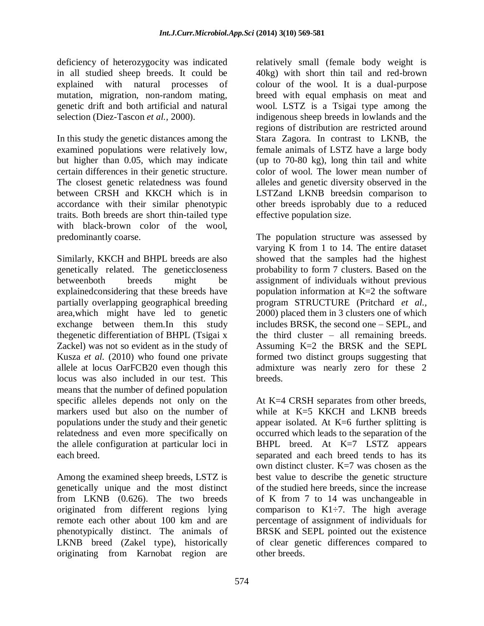deficiency of heterozygocity was indicated in all studied sheep breeds. It could be explained with natural processes of mutation, migration, non-random mating, genetic drift and both artificial and natural selection (Diez-Tascon *et al.,* 2000).

In this study the genetic distances among the examined populations were relatively low, but higher than 0.05, which may indicate certain differences in their genetic structure. The closest genetic relatedness was found between CRSH and KKCH which is in accordance with their similar phenotypic traits. Both breeds are short thin-tailed type with black-brown color of the wool, predominantly coarse.

Similarly, KKCH and BHPL breeds are also genetically related. The geneticcloseness betweenboth breeds might be explainedconsidering that these breeds have partially overlapping geographical breeding area,which might have led to genetic exchange between them.In this study thegenetic differentiation of BHPL (Tsigai x Zackel) was not so evident as in the study of Kusza *et al.* (2010) who found one private allele at locus OarFCB20 even though this locus was also included in our test. This means that the number of defined population specific alleles depends not only on the markers used but also on the number of populations under the study and their genetic relatedness and even more specifically on the allele configuration at particular loci in each breed.

Among the examined sheep breeds, LSTZ is genetically unique and the most distinct from LKNB (0.626). The two breeds originated from different regions lying remote each other about 100 km and are phenotypically distinct. The animals of LKNB breed (Zakel type), historically originating from Karnobat region are

relatively small (female body weight is 40kg) with short thin tail and red-brown colour of the wool. It is a dual-purpose breed with equal emphasis on meat and wool. LSTZ is a Tsigai type among the indigenous sheep breeds in lowlands and the regions of distribution are restricted around Stara Zagora. In contrast to LKNB, the female animals of LSTZ have a large body (up to 70-80 kg), long thin tail and white color of wool. The lower mean number of alleles and genetic diversity observed in the LSTZand LKNB breedsin comparison to other breeds isprobably due to a reduced effective population size.

The population structure was assessed by varying K from 1 to 14. The entire dataset showed that the samples had the highest probability to form 7 clusters. Based on the assignment of individuals without previous population information at K=2 the software program STRUCTURE (Pritchard *et al.,* 2000) placed them in 3 clusters one of which includes BRSK, the second one – SEPL, and the third cluster – all remaining breeds. Assuming K=2 the BRSK and the SEPL formed two distinct groups suggesting that admixture was nearly zero for these 2 breeds.

At K=4 CRSH separates from other breeds, while at K=5 KKCH and LKNB breeds appear isolated. At K=6 further splitting is occurred which leads to the separation of the BHPL breed. At K=7 LSTZ appears separated and each breed tends to has its own distinct cluster. K=7 was chosen as the best value to describe the genetic structure of the studied here breeds, since the increase of K from 7 to 14 was unchangeable in comparison to  $K1\div 7$ . The high average percentage of assignment of individuals for BRSK and SEPL pointed out the existence of clear genetic differences compared to other breeds.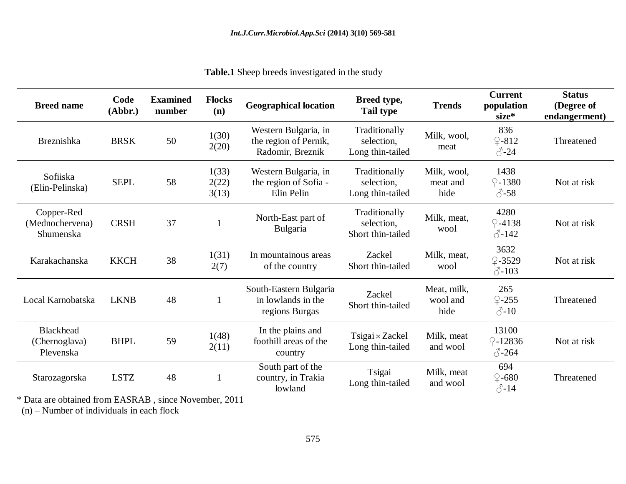| <b>Breed name</b>                              | Code<br>(Abbr.) | <b>Examined</b><br>number | <b>Flocks</b><br>(n)    | <b>Geographical location</b>                                      | Breed type,<br>Tail type                                                | <b>Trends</b>                   | <b>Current</b><br>population<br>size*         | <b>Status</b><br>(Degree of<br>endangerment) |
|------------------------------------------------|-----------------|---------------------------|-------------------------|-------------------------------------------------------------------|-------------------------------------------------------------------------|---------------------------------|-----------------------------------------------|----------------------------------------------|
| Breznishka                                     | <b>BRSK</b>     | 50                        | 1(30)<br>2(20)          | Western Bulgaria, in<br>the region of Pernik,<br>Radomir, Breznik | Traditionally<br>selection.<br>Long thin-tailed                         | Milk, wool,<br>meat             | 836<br>$\sqrt{2-812}$<br>$\mathcal{S}$ -24    | Threatened                                   |
| Sofiiska<br>(Elin-Pelinska)                    | <b>SEPL</b>     | 58                        | 1(33)<br>2(22)<br>3(13) | Western Bulgaria, in<br>the region of Sofia -<br>Elin Pelin       | Traditionally<br>selection,<br>Long thin-tailed                         | Milk, wool,<br>meat and<br>hide | 1438<br>$\sqrt{2} - 1380$<br>$\circ$ -58      | Not at risk                                  |
| Copper-Red<br>(Mednochervena)<br>Shumenska     | <b>CRSH</b>     | 37                        |                         | North-East part of<br>Bulgaria                                    | Traditionally<br>Milk, meat,<br>selection,<br>wool<br>Short thin-tailed |                                 | 4280<br>$\sqrt{2} - 4138$<br>$\sqrt[3]{-142}$ | Not at risk                                  |
| Karakachanska                                  | <b>KKCH</b>     | 38                        | 1(31)<br>2(7)           | In mountainous areas<br>of the country                            | Zackel<br>Short thin-tailed                                             | Milk, meat,<br>wool             | 3632<br>$2 - 3529$<br>$\triangle$ -103        | Not at risk                                  |
| Local Karnobatska                              | <b>LKNB</b>     | 48                        |                         | South-Eastern Bulgaria<br>in lowlands in the<br>regions Burgas    | Zackel<br>Short thin-tailed                                             | Meat, milk,<br>wool and<br>hide | 265<br>$Q - 255$<br>$\triangle$ -10           | Threatened                                   |
| <b>Blackhead</b><br>(Chernoglava)<br>Plevenska | <b>BHPL</b>     | 59                        | 1(48)<br>2(11)          | In the plains and<br>foothill areas of the<br>country             | $T sigai \times Zackel$<br>Long thin-tailed                             | Milk, meat<br>and wool          | 13100<br>$Q - 12836$<br>$\circ$ -264          | Not at risk                                  |
| Starozagorska                                  | <b>LSTZ</b>     | 48                        |                         | South part of the<br>country, in Trakia<br>lowland                | Tsigai<br>Long thin-tailed                                              | Milk, meat<br>and wool          | 694<br>$\sqrt{2}$ -680<br>$2\sqrt{11}$        | Threatened                                   |

**Table.1** Sheep breeds investigated in the study

\* Data are obtained from EASRAB , since November, 2011

(n) – Number of individuals in each flock

♂-14

lowland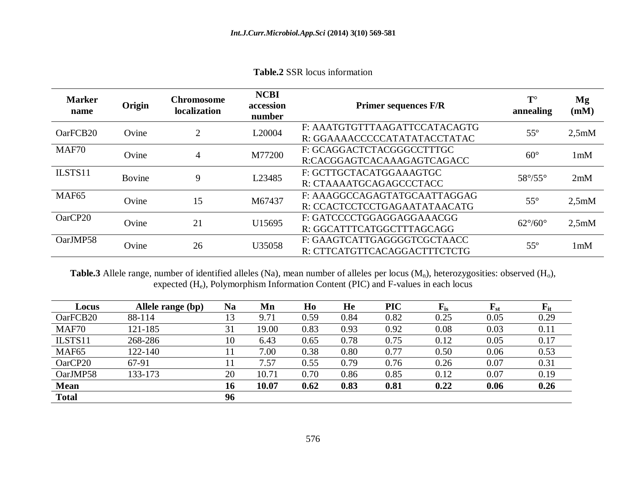**Table.2** SSR locus information

| <b>Marker</b><br>name | Origin        | <b>Chromosome</b><br>localization | <b>NCBI</b><br>accession<br>number | <b>Primer sequences F/R</b>                                   | $T^{\circ}$<br>annealing | Mg<br>(mM)         |
|-----------------------|---------------|-----------------------------------|------------------------------------|---------------------------------------------------------------|--------------------------|--------------------|
| Oar <sub>FCB20</sub>  | Ovine         | $\overline{2}$                    | L20004                             | F: AAATGTGTTTAAGATTCCATACAGTG<br>R: GGAAAACCCCCATATATACCTATAC | $55^{\circ}$             | 2,5mM              |
| MAF70                 | Ovine         | $\overline{4}$                    | M77200                             | F: GCAGGACTCTACGGGCCTTTGC<br>R:CACGGAGTCACAAAGAGTCAGACC       | $60^\circ$               | 1 <sub>m</sub> M   |
| ILSTS11               | <b>Bovine</b> | 9                                 | L23485                             | F: GCTTGCTACATGGAAAGTGC<br>R: CTAAAATGCAGAGCCCTACC            | $58^{\circ}/55^{\circ}$  | 2mM                |
| MAF <sub>65</sub>     | Ovine         | 15                                | M67437                             | F: AAAGGCCAGAGTATGCAATTAGGAG<br>R: CCACTCCTCCTGAGAATATAACATG  | $55^{\circ}$             | 2.5 <sub>m</sub> M |
| OarCP20               | Ovine         | 21                                | U15695                             | F: GATCCCCTGGAGGAGGAAACGG<br>R: GGCATTTCATGGCTTTAGCAGG        | $62^{\circ}/60^{\circ}$  | 2.5 <sub>m</sub> M |
| OarJMP58              | Ovine         | 26                                | U35058                             | F: GAAGTCATTGAGGGGTCGCTAACC<br>R: CTTCATGTTCACAGGACTTTCTCTG   | $55^{\circ}$             | 1 <sub>m</sub> M   |

**Table.3** Allele range, number of identified alleles (Na), mean number of alleles per locus  $(M_n)$ , heterozygosities: observed  $(H_0)$ , expected (He), Polymorphism Information Content (PIC) and F-values in each locus

| Locus             | Allele range (bp) | <b>Na</b> | Mn    | Ho   | He   | <b>PIC</b> | $F_{is}$ | $\mathbf{F_{st}}$ | $\mathbf{F}_{\mathrm{it}}$ |
|-------------------|-------------------|-----------|-------|------|------|------------|----------|-------------------|----------------------------|
| OarFCB20          | 88-114            | 13        | 9.71  | 0.59 | 0.84 | 0.82       | 0.25     | 0.05              | 0.29                       |
| MAF70             | 121-185           | 31        | 19.00 | 0.83 | 0.93 | 0.92       | 0.08     | 0.03              | 0.11                       |
| ILSTS11           | 268-286           | 10        | 6.43  | 0.65 | 0.78 | 0.75       | 0.12     | 0.05              | 0.17                       |
| MAF <sub>65</sub> | 122-140           |           | 7.00  | 0.38 | 0.80 | 0.77       | 0.50     | 0.06              | 0.53                       |
| OarCP20           | 67-91             |           | 7.57  | 0.55 | 0.79 | 0.76       | 0.26     | 0.07              | 0.31                       |
| OarJMP58          | 133-173           | 20        | 10.71 | 0.70 | 0.86 | 0.85       | 0.12     | 0.07              | 0.19                       |
| <b>Mean</b>       |                   | 16        | 10.07 | 0.62 | 0.83 | 0.81       | 0.22     | 0.06              | 0.26                       |
| <b>Total</b>      |                   | 96        |       |      |      |            |          |                   |                            |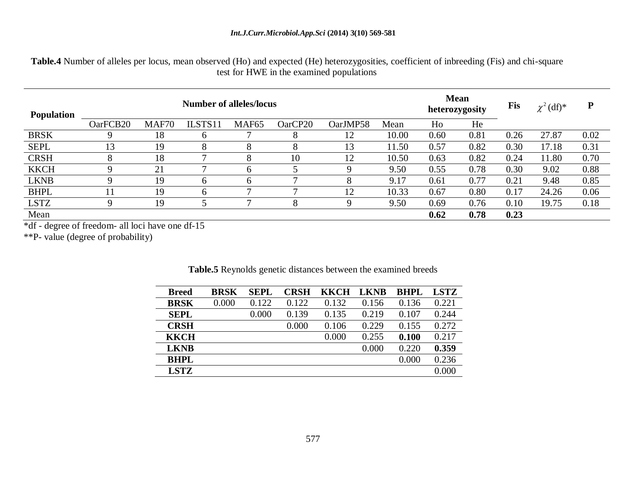**Table.4** Number of alleles per locus, mean observed (Ho) and expected (He) heterozygosities, coefficient of inbreeding (Fis) and chi-square test for HWE in the examined populations

| <b>Population</b> |          | <b>Mean</b><br>heterozygosity |          | <b>Fis</b>        | $\chi^2$ (df) <sup>*</sup> | ${\bf P}$ |       |      |      |      |       |      |
|-------------------|----------|-------------------------------|----------|-------------------|----------------------------|-----------|-------|------|------|------|-------|------|
|                   | OarFCB20 | MAF70                         | ILSTS11  | MAF <sub>65</sub> | OarCP20                    | OarJMP58  | Mean  | Ho   | He   |      |       |      |
| <b>BRSK</b>       |          | 18                            |          |                   | 8                          | 12        | 10.00 | 0.60 | 0.81 | 0.26 | 27.87 | 0.02 |
| <b>SEPL</b>       | 13       | 19                            | 8        | 8                 | 8                          | 13        | 11.50 | 0.57 | 0.82 | 0.30 | 17.18 | 0.31 |
| <b>CRSH</b>       |          | 18                            |          | 8                 | 10                         | 12        | 10.50 | 0.63 | 0.82 | 0.24 | 11.80 | 0.70 |
| <b>KKCH</b>       |          | 21                            |          | <sub>0</sub>      |                            |           | 9.50  | 0.55 | 0.78 | 0.30 | 9.02  | 0.88 |
| <b>LKNB</b>       |          | 19                            |          | h                 | −                          |           | 9.17  | 0.61 | 0.77 | 0.21 | 9.48  | 0.85 |
| <b>BHPL</b>       |          | 19                            | $\sigma$ | -                 | −                          | 12        | 10.33 | 0.67 | 0.80 | 0.17 | 24.26 | 0.06 |
| <b>LSTZ</b>       |          | 19                            |          | -                 | 8                          |           | 9.50  | 0.69 | 0.76 | 0.10 | 19.75 | 0.18 |
| Mean              |          |                               |          |                   |                            |           |       | 0.62 | 0.78 | 0.23 |       |      |

\*df - degree of freedom- all loci have one df-15

\*\*P- value (degree of [probability\)](http://en.wikipedia.org/wiki/Probability)

| <b>Breed</b> | <b>BRSK</b> | <b>SEPL</b> | CRSH  | KKCH  | <b>LKNB</b> | <b>RHPL</b> | <b>LSTZ</b> |
|--------------|-------------|-------------|-------|-------|-------------|-------------|-------------|
| <b>BRSK</b>  | 0.000       | 0.122       | 0.122 | 0.132 | 0.156       | 0.136       | 0.221       |
| <b>SEPL</b>  |             | 0.000       | 0.139 | 0.135 | 0.219       | 0.107       | 0.244       |
| <b>CRSH</b>  |             |             | 0.000 | 0.106 | 0.229       | 0.155       | 0.272       |
| <b>KKCH</b>  |             |             |       | 0.000 | 0.255       | 0.100       | 0.217       |
| <b>LKNB</b>  |             |             |       |       | 0.000       | 0.220       | 0.359       |
| <b>BHPL</b>  |             |             |       |       |             | 0.000       | 0.236       |
| <b>LSTZ</b>  |             |             |       |       |             |             | 0.000       |

**Table.5** Reynolds genetic distances between the examined breeds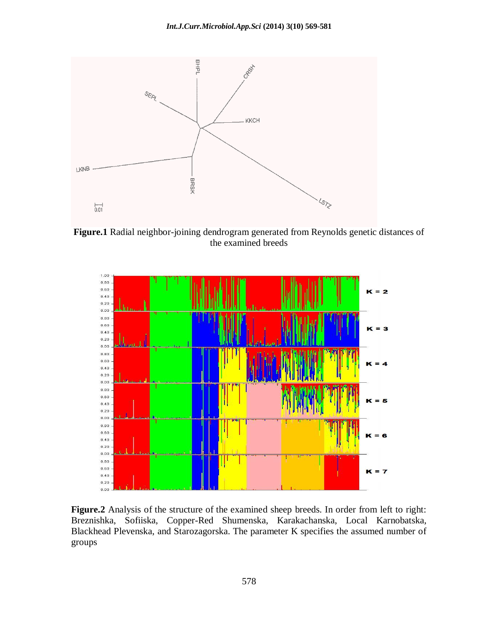

**Figure.1** Radial neighbor-joining dendrogram generated from Reynolds genetic distances of the examined breeds



**Figure.2** Analysis of the structure of the examined sheep breeds. In order from left to right: Breznishka, Sofiiska, Copper-Red Shumenska, Karakachanska, Local Karnobatska, Blackhead Plevenska, and Starozagorska. The parameter K specifies the assumed number of groups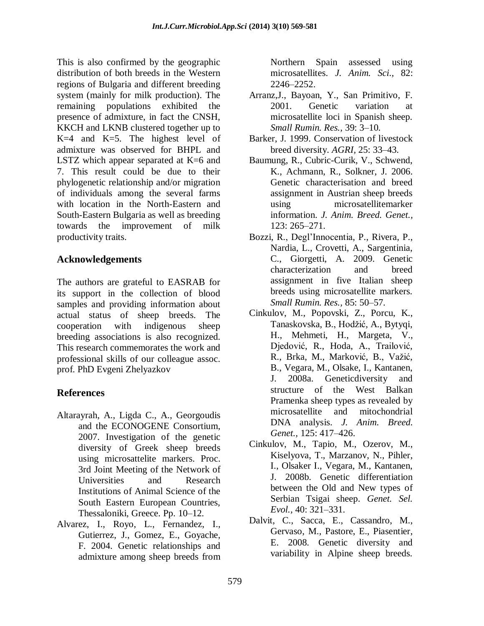This is also confirmed by the geographic distribution of both breeds in the Western regions of Bulgaria and different breeding system (mainly for milk production). The remaining populations exhibited the presence of admixture, in fact the CNSH, KKCH and LKNB clustered together up to K=4 and K=5. The highest level of admixture was observed for BHPL and LSTZ which appear separated at K=6 and 7. This result could be due to their phylogenetic relationship and/or migration of individuals among the several farms with location in the North-Eastern and South-Eastern Bulgaria as well as breeding towards the improvement of milk productivity traits.

# **Acknowledgements**

The authors are grateful to EASRAB for its support in the collection of blood samples and providing information about actual status of sheep breeds. The cooperation with indigenous sheep breeding associations is also recognized. This research commemorates the work and professional skills of our colleague assoc. prof. PhD Evgeni Zhelyazkov

# **References**

- Altarayrah, A., Ligda C., A., Georgoudis and the ECONOGENE Consortium, 2007. Investigation of the genetic diversity of Greek sheep breeds using microsattelite markers. Proc. 3rd Joint Meeting of the Network of Universities and Research Institutions of Animal Science of the South Eastern European Countries, Thessaloniki, Greece. Pp. 10–12.
- Alvarez, I., Royo, L., Fernandez, I., Gutierrez, J., Gomez, E., Goyache, F. 2004. Genetic relationships and admixture among sheep breeds from

Northern Spain assessed using microsatellites. *J. Anim. Sci.,* 82: 2246–2252.

- Arranz,J., Bayoan, Y., San Primitivo, F. 2001. Genetic variation at microsatellite loci in Spanish sheep. *Small Rumin. Res.,* 39: 3–10.
- Barker, J. 1999. Conservation of livestock breed diversity. *AGRI,* 25: 33–43.
- Baumung, R., Cubric-Curik, V., Schwend, K., Achmann, R., Solkner, J. 2006. Genetic characterisation and breed assignment in Austrian sheep breeds using microsatellitemarker information. *J. Anim. Breed. Genet.,* 123: 265–271.
- Bozzi, R., Degl'Innocentia, P., Rivera, P., Nardia, L., Crovetti, A., Sargentinia, C., Giorgetti, A. 2009. Genetic characterization and breed assignment in five Italian sheep breeds using microsatellite markers. *Small Rumin. Res.,* 85: 50–57.
- Cinkulov, M., Popovski, Z., Porcu, K., Tanaskovska, B., Hodžić, A., Bytyqi, H., Mehmeti, H., Margeta, V., Djedović, R., Hoda, A., Trailović, R., Brka, M., Marković, B., Važić, B., Vegara, M., Olsake, I., Kantanen, J. 2008a. Geneticdiversity and structure of the West Balkan Pramenka sheep types as revealed by microsatellite and mitochondrial DNA analysis. *J. Anim. Breed. Genet.,* 125: 417–426.
- Cinkulov, M., Tapio, M., Ozerov, M., Kiselyova, T., Marzanov, N., Pihler, I., Olsaker I., Vegara, M., Kantanen, J. 2008b. Genetic differentiation between the Old and New types of Serbian Tsigai sheep. *Genet. Sel. Evol.,* 40: 321–331.
- Dalvit, C., Sacca, E., Cassandro, M., Gervaso, M., Pastore, E., Piasentier, E. 2008. Genetic diversity and variability in Alpine sheep breeds.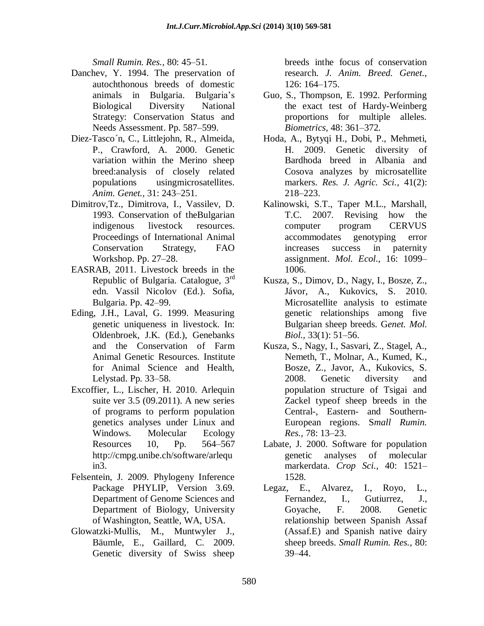*Small Rumin. Res.,* 80: 45–51.

- Danchev, Y. 1994. The preservation of autochthonous breeds of domestic animals in Bulgaria. Bulgaria's Biological Diversity National Strategy: Conservation Status and Needs Assessment. Pp. 587–599.
- Diez-Tasco´n, C., Littlejohn, R., Almeida, P., Crawford, A. 2000. Genetic variation within the Merino sheep breed:analysis of closely related populations usingmicrosatellites. *Anim. Genet.,* 31: 243–251.
- Dimitrov,Tz., Dimitrova, I., Vassilev, D. 1993. Conservation of theBulgarian indigenous livestock resources. Proceedings of International Animal Conservation Strategy, FAO Workshop. Pp. 27–28.
- EASRAB, 2011. Livestock breeds in the Republic of Bulgaria. Catalogue,  $3<sup>rd</sup>$ edn. Vassil Nicolov (Ed.). Sofia, Bulgaria. Pp. 42–99.
- Eding, J.H., Laval, G. 1999. Measuring genetic uniqueness in livestock. In: Oldenbroek, J.K. (Ed.), Genebanks and the Conservation of Farm Animal Genetic Resources. Institute for Animal Science and Health, Lelystad. Pp. 33–58.
- Excoffier, L., Lischer, H. 2010. Arlequin suite ver 3.5 (09.2011). A new series of programs to perform population genetics analyses under Linux and Windows. Molecular Ecology Resources 10, Pp. 564–567 [http://cmpg.unibe.ch/software/arlequ](http://cmpg.unibe.ch/software/arlequin3) [in3.](http://cmpg.unibe.ch/software/arlequin3)
- Felsentein, J. 2009. Phylogeny Inference Package PHYLIP, Version 3.69. Department of Genome Sciences and Department of Biology, University of Washington, Seattle, WA, USA.
- Glowatzki-Mullis, M., Muntwyler J., Bäumle, E., Gaillard, C. 2009. Genetic diversity of Swiss sheep

breeds inthe focus of conservation research. *J. Anim. Breed. Genet.,* 126: 164–175.

- Guo, S., Thompson, E. 1992. Performing the exact test of Hardy-Weinberg proportions for multiple alleles. *Biometrics,* 48: 361–372.
- Hoda, A., Bytyqi H., Dobi, P., Mehmeti, H. 2009. Genetic diversity of Bardhoda breed in Albania and Cosova analyzes by microsatellite markers. *Res. J. Agric. Sci.,* 41(2): 218–223.
- Kalinowski, S.T., Taper M.L., Marshall, T.C. 2007. Revising how the computer program CERVUS accommodates genotyping error increases success in paternity assignment. *Mol. Ecol.,* 16: 1099– 1006.
- Kusza, S., Dimov, D., Nagy, I., Bosze, Z., Jávor, A., Kukovics, S. 2010. Microsatellite analysis to estimate genetic relationships among five Bulgarian sheep breeds. G*enet. Mol. Biol.,* 33(1): 51–56.
- Kusza, S., Nagy, I., Sasvari, Z., Stagel, A., Nemeth, T., Molnar, A., Kumed, K., Bosze, Z., Javor, A., Kukovics, S. 2008. Genetic diversity and population structure of Tsigai and Zackel typeof sheep breeds in the Central-, Eastern- and Southern-European regions. S*mall Rumin. Res.,* 78: 13–23.
- Labate, J. 2000. Software for population genetic analyses of molecular markerdata. *Crop Sci.,* 40: 1521– 1528.
- Legaz, E., Alvarez, I., Royo, L., Fernandez, I., Gutiurrez, J., Goyache, F. 2008. Genetic relationship between Spanish Assaf (Assaf.E) and Spanish native dairy sheep breeds. *Small Rumin. Res.,* 80: 39–44.